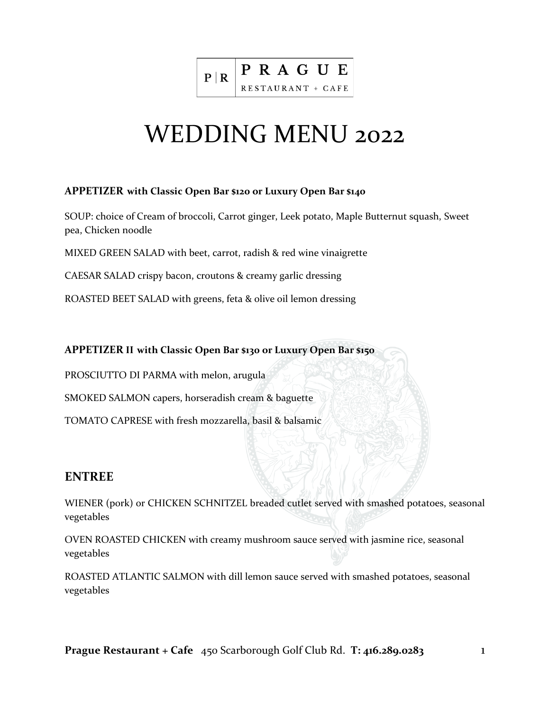

# WEDDING MENU 2022

#### **APPETIZER with Classic Open Bar \$120 or Luxury Open Bar \$140**

SOUP: choice of Cream of broccoli, Carrot ginger, Leek potato, Maple Butternut squash, Sweet pea, Chicken noodle

MIXED GREEN SALAD with beet, carrot, radish & red wine vinaigrette

CAESAR SALAD crispy bacon, croutons & creamy garlic dressing

ROASTED BEET SALAD with greens, feta & olive oil lemon dressing

#### **APPETIZER II with Classic Open Bar \$130 or Luxury Open Bar \$150**

PROSCIUTTO DI PARMA with melon, arugula

SMOKED SALMON capers, horseradish cream & baguette

TOMATO CAPRESE with fresh mozzarella, basil & balsamic

### **ENTREE**

WIENER (pork) or CHICKEN SCHNITZEL breaded cutlet served with smashed potatoes, seasonal vegetables

OVEN ROASTED CHICKEN with creamy mushroom sauce served with jasmine rice, seasonal vegetables

ROASTED ATLANTIC SALMON with dill lemon sauce served with smashed potatoes, seasonal vegetables

**Prague Restaurant + Cafe** 450 Scarborough Golf Club Rd. **T: 416.289.0283** 1